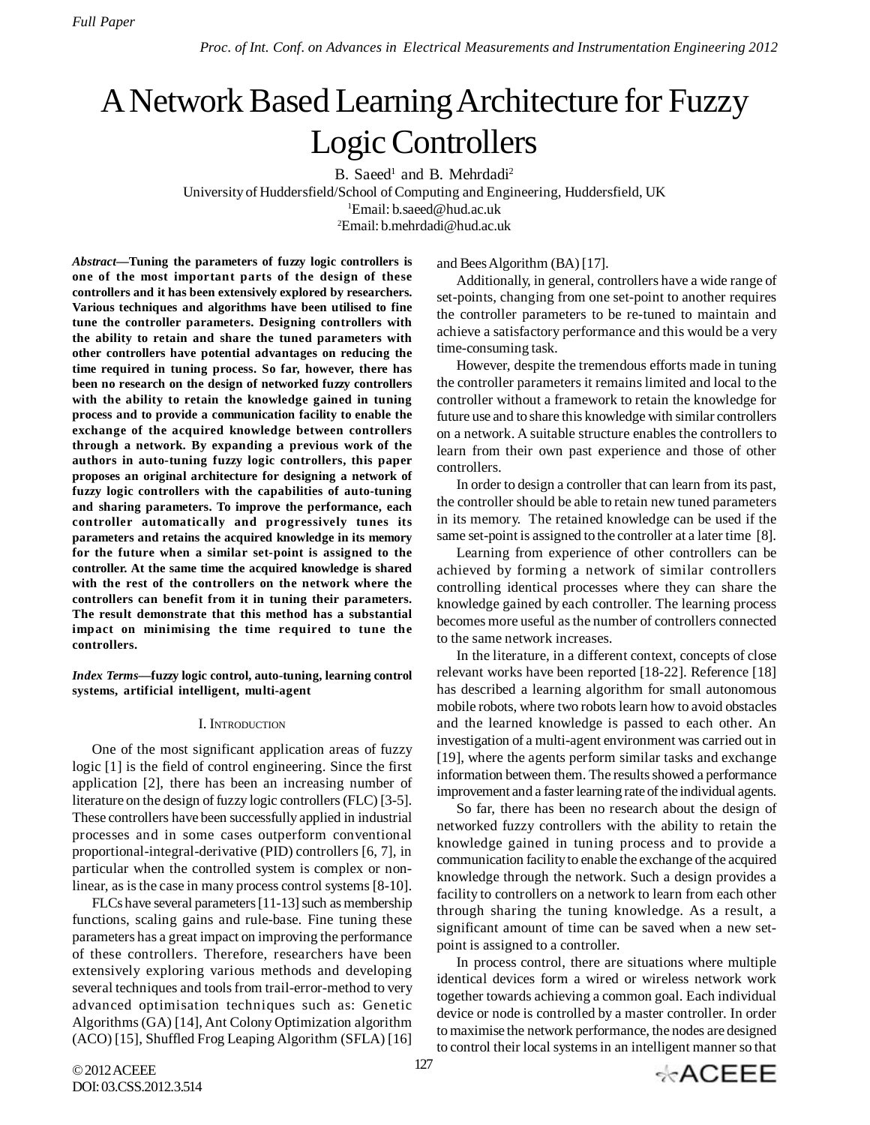# A Network Based Learning Architecture for Fuzzy Logic Controllers

B. Saeed<sup>1</sup> and B. Mehrdadi<sup>2</sup> University of Huddersfield/School of Computing and Engineering, Huddersfield, UK <sup>1</sup>Email: b.saeed@hud.ac.uk <sup>2</sup>Email: b.mehrdadi@hud.ac.uk

*Abstract***—Tuning the parameters of fuzzy logic controllers is one of the most important parts of the design of these controllers and it has been extensively explored by researchers. Various techniques and algorithms have been utilised to fine tune the controller parameters. Designing controllers with the ability to retain and share the tuned parameters with other controllers have potential advantages on reducing the time required in tuning process. So far, however, there has been no research on the design of networked fuzzy controllers with the ability to retain the knowledge gained in tuning process and to provide a communication facility to enable the exchange of the acquired knowledge between controllers through a network. By expanding a previous work of the authors in auto-tuning fuzzy logic controllers, this paper proposes an original architecture for designing a network of fuzzy logic controllers with the capabilities of auto-tuning and sharing parameters. To improve the performance, each controller automatically and progressively tunes its parameters and retains the acquired knowledge in its memory for the future when a similar set-point is assigned to the controller. At the same time the acquired knowledge is shared with the rest of the controllers on the network where the controllers can benefit from it in tuning their parameters. The result demonstrate that this method has a substantial impact on minimising the time required to tune the controllers.**

*Index Terms***—fuzzy logic control, auto-tuning, learning control systems, artificial intelligent, multi-agent**

## I. INTRODUCTION

One of the most significant application areas of fuzzy logic [1] is the field of control engineering. Since the first application [2], there has been an increasing number of literature on the design of fuzzy logic controllers (FLC) [3-5]. These controllers have been successfully applied in industrial processes and in some cases outperform conventional proportional-integral-derivative (PID) controllers [6, 7], in particular when the controlled system is complex or nonlinear, as is the case in many process control systems [8-10].

FLCs have several parameters [11-13] such as membership functions, scaling gains and rule-base. Fine tuning these parameters has a great impact on improving the performance of these controllers. Therefore, researchers have been extensively exploring various methods and developing several techniques and tools from trail-error-method to very advanced optimisation techniques such as: Genetic Algorithms (GA) [14], Ant Colony Optimization algorithm (ACO) [15], Shuffled Frog Leaping Algorithm (SFLA) [16] and Bees Algorithm (BA) [17].

Additionally, in general, controllers have a wide range of set-points, changing from one set-point to another requires the controller parameters to be re-tuned to maintain and achieve a satisfactory performance and this would be a very time-consuming task.

However, despite the tremendous efforts made in tuning the controller parameters it remains limited and local to the controller without a framework to retain the knowledge for future use and to share this knowledge with similar controllers on a network. A suitable structure enables the controllers to learn from their own past experience and those of other controllers.

In order to design a controller that can learn from its past, the controller should be able to retain new tuned parameters in its memory. The retained knowledge can be used if the same set-point is assigned to the controller at a later time [8].

Learning from experience of other controllers can be achieved by forming a network of similar controllers controlling identical processes where they can share the knowledge gained by each controller. The learning process becomes more useful as the number of controllers connected to the same network increases.

In the literature, in a different context, concepts of close relevant works have been reported [18-22]. Reference [18] has described a learning algorithm for small autonomous mobile robots, where two robots learn how to avoid obstacles and the learned knowledge is passed to each other. An investigation of a multi-agent environment was carried out in [19], where the agents perform similar tasks and exchange information between them. The results showed a performance improvement and a faster learning rate of the individual agents.

So far, there has been no research about the design of networked fuzzy controllers with the ability to retain the knowledge gained in tuning process and to provide a communication facility to enable the exchange of the acquired knowledge through the network. Such a design provides a facility to controllers on a network to learn from each other through sharing the tuning knowledge. As a result, a significant amount of time can be saved when a new setpoint is assigned to a controller.

In process control, there are situations where multiple identical devices form a wired or wireless network work together towards achieving a common goal. Each individual device or node is controlled by a master controller. In order to maximise the network performance, the nodes are designed to control their local systems in an intelligent manner so that

© 2012 ACEEE DOI: 03.CSS.2012.3.514

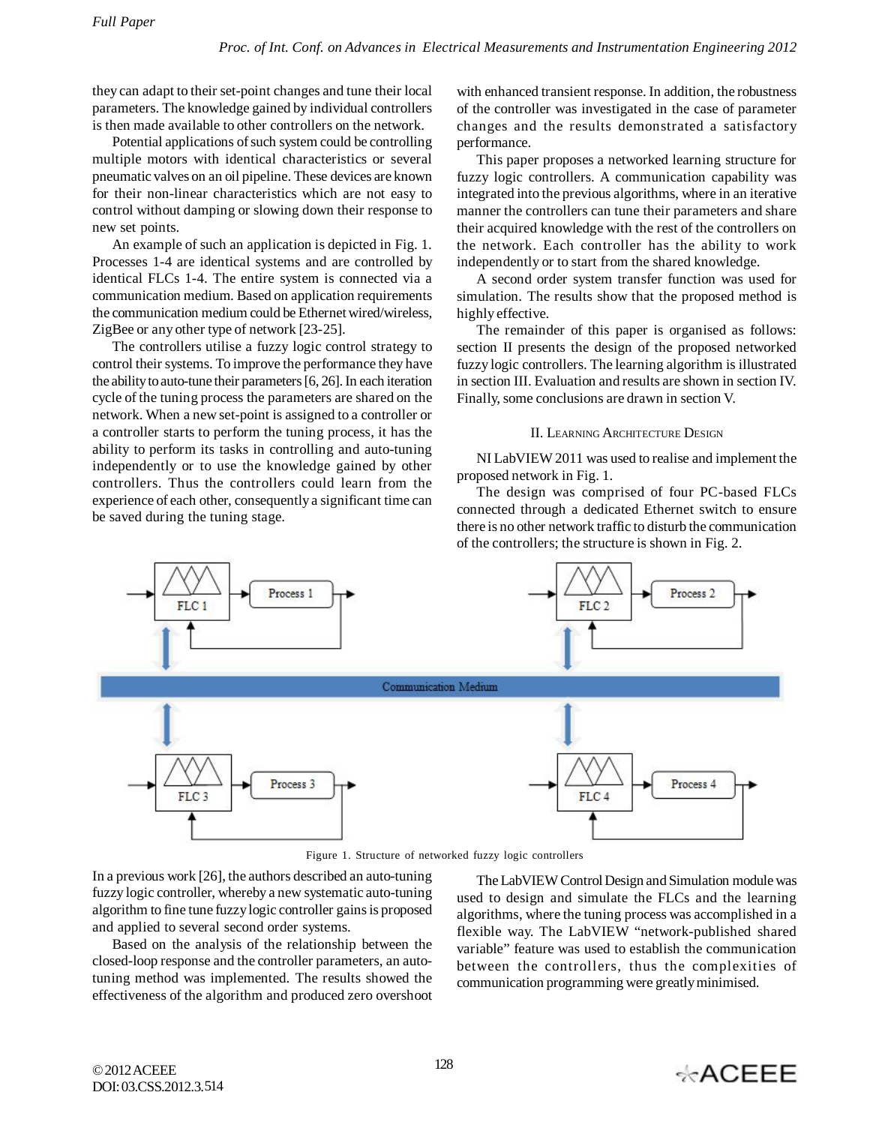they can adapt to their set-point changes and tune their local parameters. The knowledge gained by individual controllers is then made available to other controllers on the network.

Potential applications of such system could be controlling multiple motors with identical characteristics or several pneumatic valves on an oil pipeline. These devices are known for their non-linear characteristics which are not easy to control without damping or slowing down their response to new set points.

An example of such an application is depicted in Fig. 1. Processes 1-4 are identical systems and are controlled by identical FLCs 1-4. The entire system is connected via a communication medium. Based on application requirements the communication medium could be Ethernet wired/wireless, ZigBee or any other type of network [23-25].

The controllers utilise a fuzzy logic control strategy to control their systems. To improve the performance they have the ability to auto-tune their parameters [6, 26]. In each iteration cycle of the tuning process the parameters are shared on the network. When a new set-point is assigned to a controller or a controller starts to perform the tuning process, it has the ability to perform its tasks in controlling and auto-tuning independently or to use the knowledge gained by other controllers. Thus the controllers could learn from the experience of each other, consequently a significant time can be saved during the tuning stage.

with enhanced transient response. In addition, the robustness of the controller was investigated in the case of parameter changes and the results demonstrated a satisfactory performance.

This paper proposes a networked learning structure for fuzzy logic controllers. A communication capability was integrated into the previous algorithms, where in an iterative manner the controllers can tune their parameters and share their acquired knowledge with the rest of the controllers on the network. Each controller has the ability to work independently or to start from the shared knowledge.

A second order system transfer function was used for simulation. The results show that the proposed method is highly effective.

The remainder of this paper is organised as follows: section II presents the design of the proposed networked fuzzy logic controllers. The learning algorithm is illustrated in section III. Evaluation and results are shown in section IV. Finally, some conclusions are drawn in section V.

## II. LEARNING ARCHITECTURE DESIGN

NI LabVIEW 2011 was used to realise and implement the proposed network in Fig. 1.

The design was comprised of four PC-based FLCs connected through a dedicated Ethernet switch to ensure there is no other network traffic to disturb the communication of the controllers; the structure is shown in Fig. 2.



Figure 1. Structure of networked fuzzy logic controllers

In a previous work [26], the authors described an auto-tuning fuzzy logic controller, whereby a new systematic auto-tuning algorithm to fine tune fuzzy logic controller gains is proposed and applied to several second order systems.

Based on the analysis of the relationship between the closed-loop response and the controller parameters, an autotuning method was implemented. The results showed the effectiveness of the algorithm and produced zero overshoot

The LabVIEW Control Design and Simulation module was used to design and simulate the FLCs and the learning algorithms, where the tuning process was accomplished in a flexible way. The LabVIEW "network-published shared variable" feature was used to establish the communication between the controllers, thus the complexities of communication programming were greatly minimised.

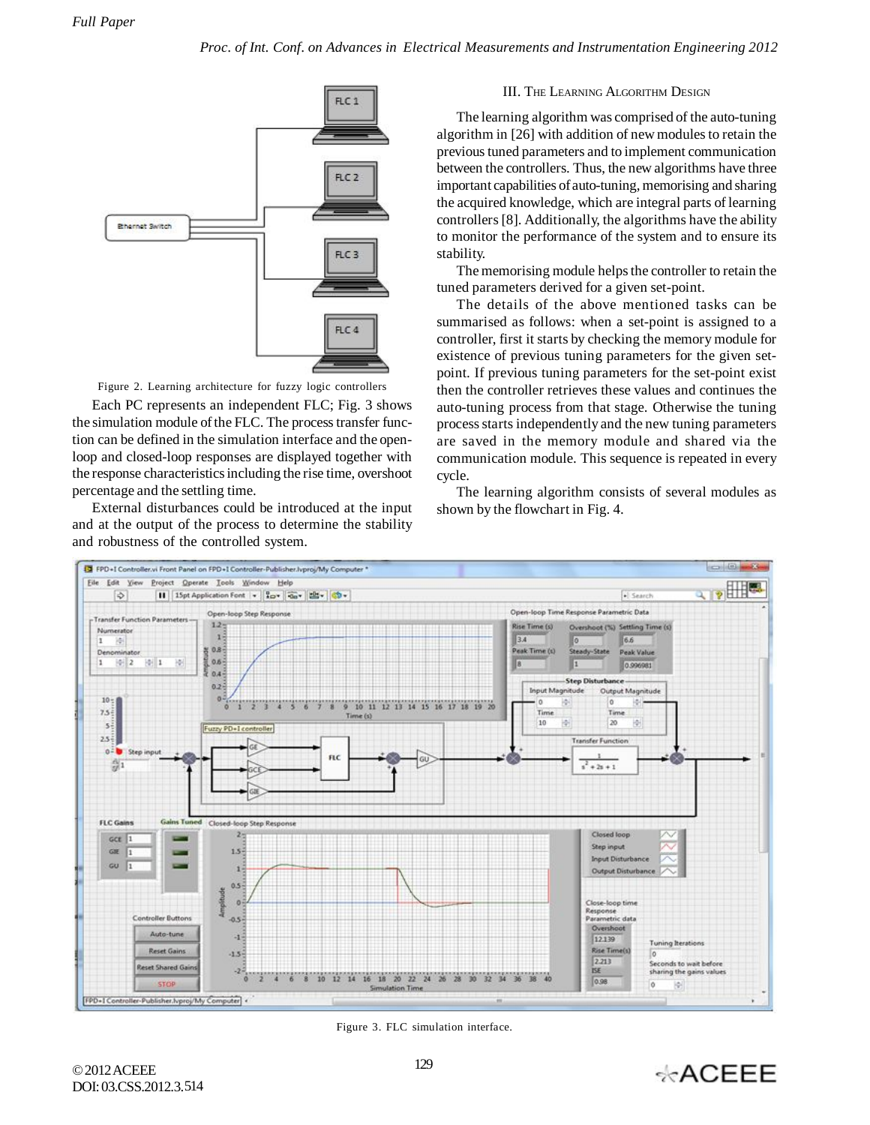

Figure 2. Learning architecture for fuzzy logic controllers

Each PC represents an independent FLC; Fig. 3 shows the simulation module of the FLC. The process transfer function can be defined in the simulation interface and the openloop and closed-loop responses are displayed together with the response characteristics including the rise time, overshoot percentage and the settling time.

External disturbances could be introduced at the input and at the output of the process to determine the stability and robustness of the controlled system.

## III. THE LEARNING ALGORITHM DESIGN

The learning algorithm was comprised of the auto-tuning algorithm in [26] with addition of new modules to retain the previous tuned parameters and to implement communication between the controllers. Thus, the new algorithms have three important capabilities of auto-tuning, memorising and sharing the acquired knowledge, which are integral parts of learning controllers [8]. Additionally, the algorithms have the ability to monitor the performance of the system and to ensure its stability.

The memorising module helps the controller to retain the tuned parameters derived for a given set-point.

The details of the above mentioned tasks can be summarised as follows: when a set-point is assigned to a controller, first it starts by checking the memory module for existence of previous tuning parameters for the given setpoint. If previous tuning parameters for the set-point exist then the controller retrieves these values and continues the auto-tuning process from that stage. Otherwise the tuning process starts independently and the new tuning parameters are saved in the memory module and shared via the communication module. This sequence is repeated in every cycle.

The learning algorithm consists of several modules as shown by the flowchart in Fig. 4.



Figure 3. FLC simulation interface.

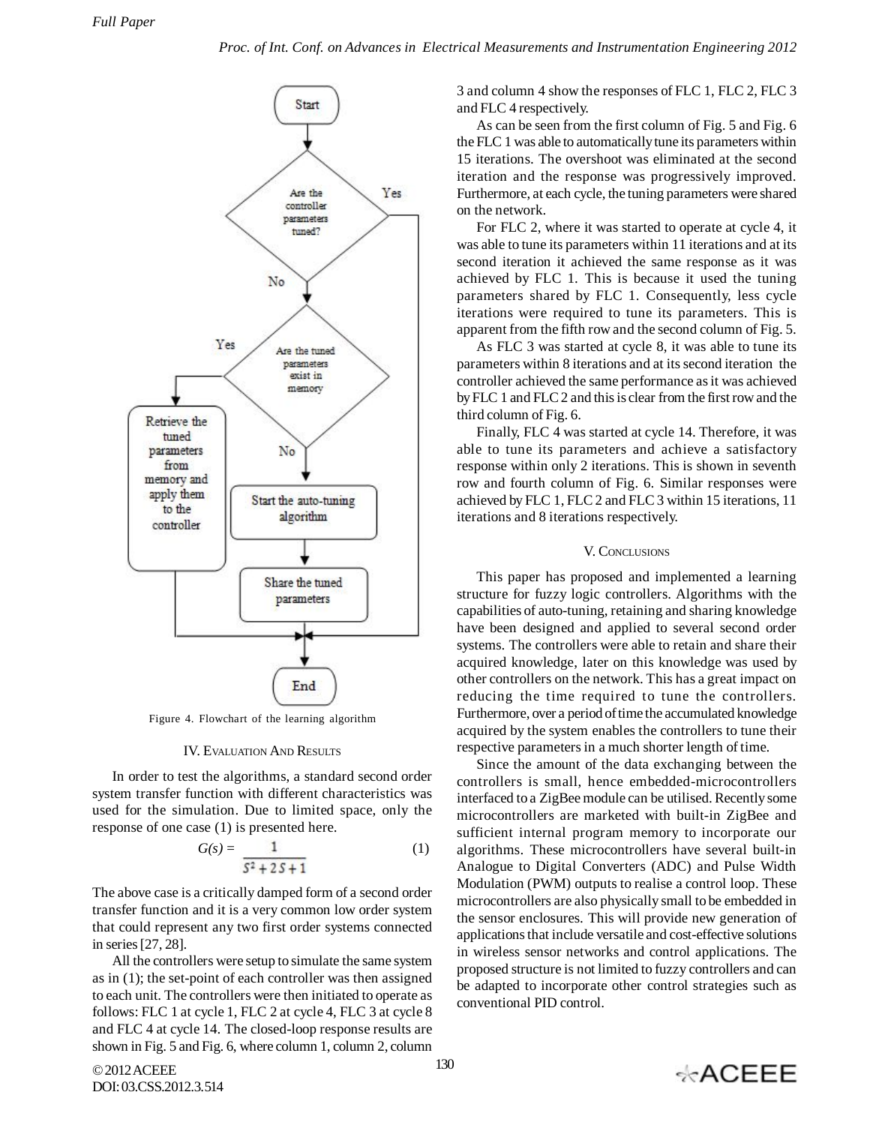

Figure 4. Flowchart of the learning algorithm

## IV. EVALUATION AND RESULTS

In order to test the algorithms, a standard second order system transfer function with different characteristics was used for the simulation. Due to limited space, only the response of one case (1) is presented here.

$$
G(s) = \frac{1}{s^2 + 2s + 1} \tag{1}
$$

The above case is a critically damped form of a second order transfer function and it is a very common low order system that could represent any two first order systems connected in series [27, 28].

All the controllers were setup to simulate the same system as in (1); the set-point of each controller was then assigned to each unit. The controllers were then initiated to operate as follows: FLC 1 at cycle 1, FLC 2 at cycle 4, FLC 3 at cycle 8 and FLC 4 at cycle 14. The closed-loop response results are shown in Fig. 5 and Fig. 6, where column 1, column 2, column 3 and column 4 show the responses of FLC 1, FLC 2, FLC 3 and FLC 4 respectively.

As can be seen from the first column of Fig. 5 and Fig. 6 the FLC 1 was able to automatically tune its parameters within 15 iterations. The overshoot was eliminated at the second iteration and the response was progressively improved. Furthermore, at each cycle, the tuning parameters were shared on the network.

For FLC 2, where it was started to operate at cycle 4, it was able to tune its parameters within 11 iterations and at its second iteration it achieved the same response as it was achieved by FLC 1. This is because it used the tuning parameters shared by FLC 1. Consequently, less cycle iterations were required to tune its parameters. This is apparent from the fifth row and the second column of Fig. 5.

As FLC 3 was started at cycle 8, it was able to tune its parameters within 8 iterations and at its second iteration the controller achieved the same performance as it was achieved by FLC 1 and FLC 2 and this is clear from the first row and the third column of Fig. 6.

Finally, FLC 4 was started at cycle 14. Therefore, it was able to tune its parameters and achieve a satisfactory response within only 2 iterations. This is shown in seventh row and fourth column of Fig. 6. Similar responses were achieved by FLC 1, FLC 2 and FLC 3 within 15 iterations, 11 iterations and 8 iterations respectively.

## V. CONCLUSIONS

This paper has proposed and implemented a learning structure for fuzzy logic controllers. Algorithms with the capabilities of auto-tuning, retaining and sharing knowledge have been designed and applied to several second order systems. The controllers were able to retain and share their acquired knowledge, later on this knowledge was used by other controllers on the network. This has a great impact on reducing the time required to tune the controllers. Furthermore, over a period of time the accumulated knowledge acquired by the system enables the controllers to tune their respective parameters in a much shorter length of time.

Since the amount of the data exchanging between the controllers is small, hence embedded-microcontrollers interfaced to a ZigBee module can be utilised. Recently some microcontrollers are marketed with built-in ZigBee and sufficient internal program memory to incorporate our algorithms. These microcontrollers have several built-in Analogue to Digital Converters (ADC) and Pulse Width Modulation (PWM) outputs to realise a control loop. These microcontrollers are also physically small to be embedded in the sensor enclosures. This will provide new generation of applications that include versatile and cost-effective solutions in wireless sensor networks and control applications. The proposed structure is not limited to fuzzy controllers and can be adapted to incorporate other control strategies such as conventional PID control.

© 2012 ACEEE DOI: 03.CSS.2012.3. 514

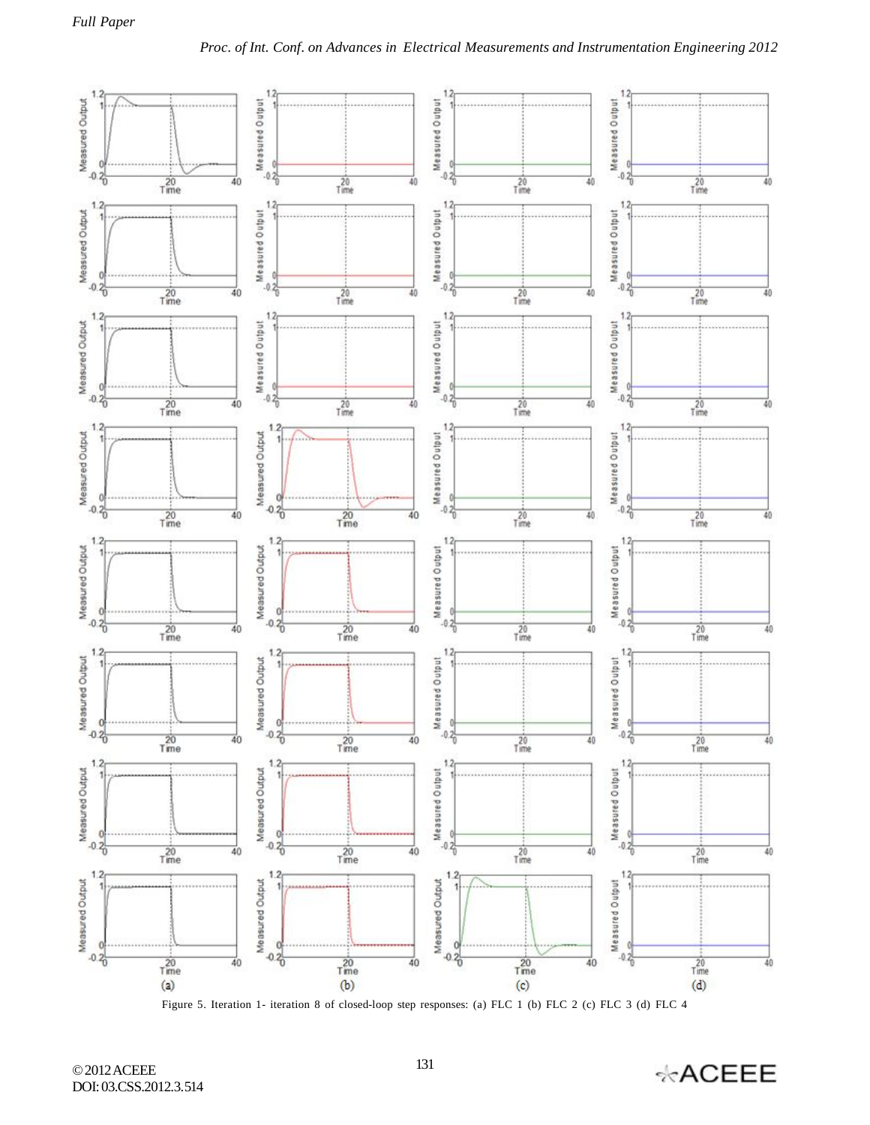

Figure 5. Iteration 1- iteration 8 of closed-loop step responses: (a) FLC 1 (b) FLC 2 (c) FLC 3 (d) FLC 4

© 2012 ACEEE DOI: 03.CSS.2012.3.514

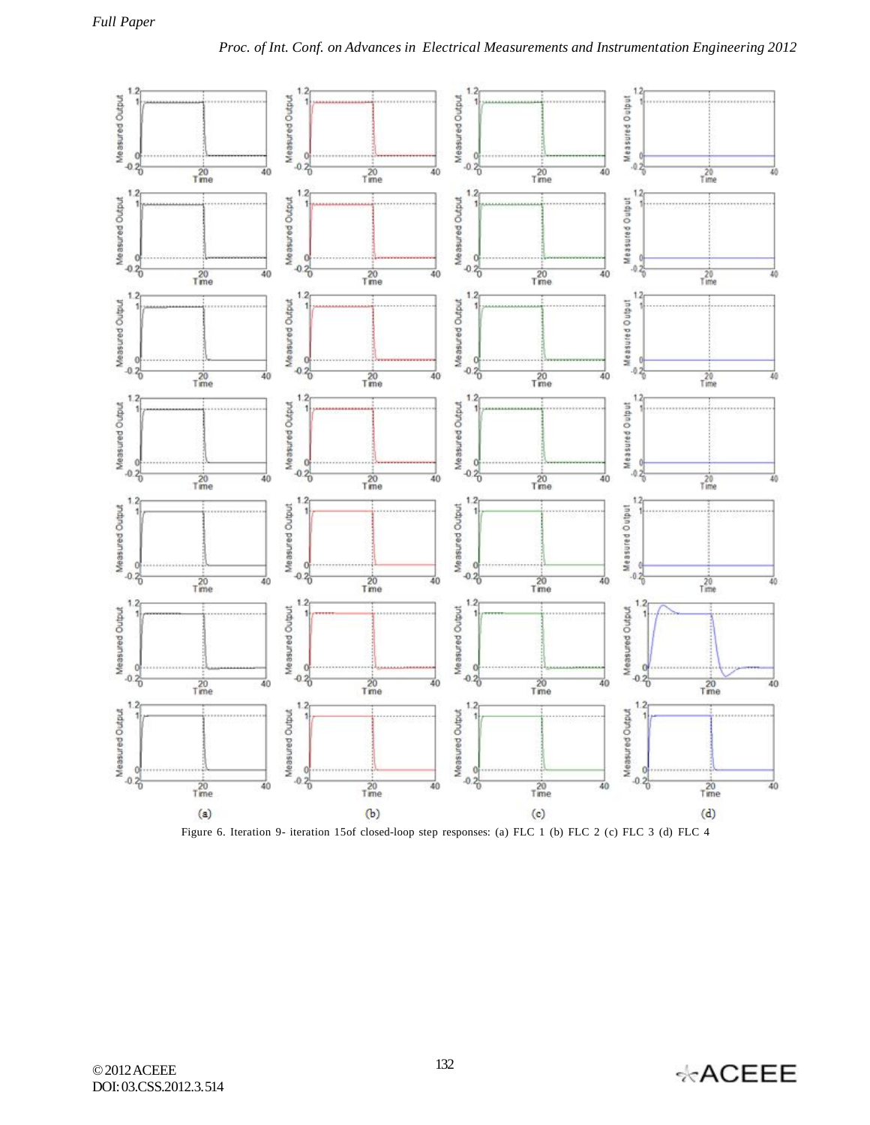

Figure 6. Iteration 9- iteration 15of closed-loop step responses: (a) FLC 1 (b) FLC 2 (c) FLC 3 (d) FLC 4